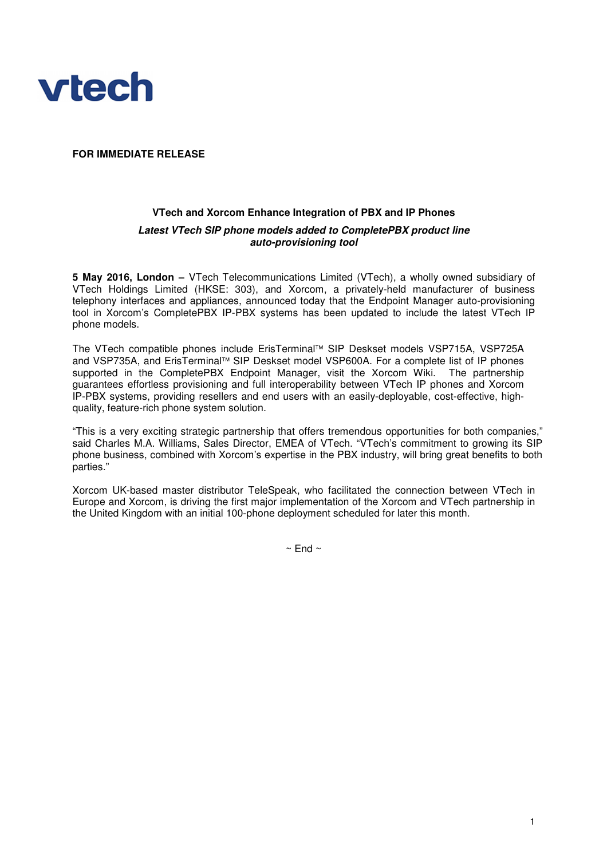

## **FOR IMMEDIATE RELEASE**

# **VTech and Xorcom Enhance Integration of PBX and IP Phones** *Latest VTech SIP phone models added to CompletePBX product line auto-provisioning tool*

**5 May 2016, London –** VTech Telecommunications Limited (VTech), a wholly owned subsidiary of VTech Holdings Limited (HKSE: 303), and Xorcom, a privately-held manufacturer of business telephony interfaces and appliances, announced today that the Endpoint Manager auto-provisioning tool in Xorcom's CompletePBX IP-PBX systems has been updated to include the latest VTech IP phone models.

The VTech compatible phones include ErisTerminal™ SIP Deskset models VSP715A, VSP725A and VSP735A, and ErisTerminal™ SIP Deskset model VSP600A. For a complete list of IP phones supported in the CompletePBX Endpoint Manager, visit the Xorcom Wiki. The partnership guarantees effortless provisioning and full interoperability between VTech IP phones and Xorcom IP-PBX systems, providing resellers and end users with an easily-deployable, cost-effective, highquality, feature-rich phone system solution.

"This is a very exciting strategic partnership that offers tremendous opportunities for both companies," said Charles M.A. Williams, Sales Director, EMEA of VTech. "VTech's commitment to growing its SIP phone business, combined with Xorcom's expertise in the PBX industry, will bring great benefits to both parties."

Xorcom UK-based master distributor TeleSpeak, who facilitated the connection between VTech in Europe and Xorcom, is driving the first major implementation of the Xorcom and VTech partnership in the United Kingdom with an initial 100-phone deployment scheduled for later this month.

 $\sim$  End  $\sim$